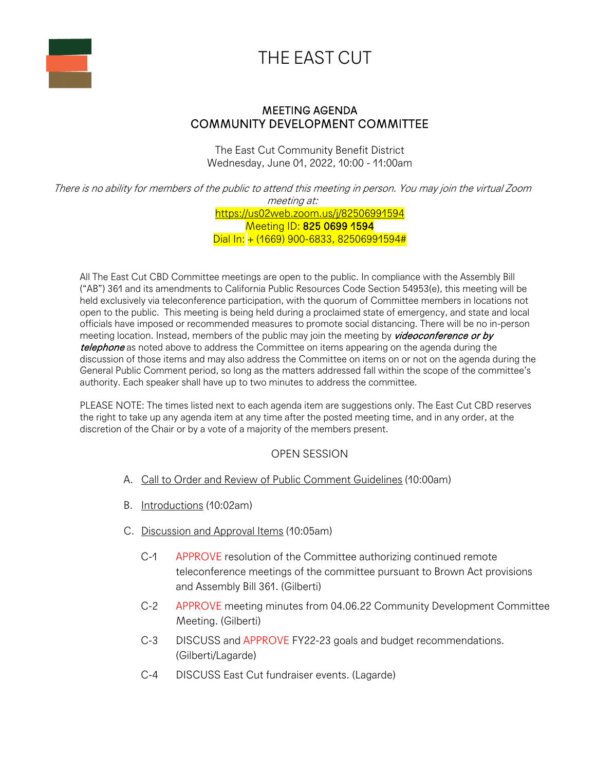

## THE EAST CUT

## MEETING AGENDA COMMUNITY DEVELOPMENT COMMITTEE

The East Cut Community Benefit District Wednesday, June 01, 2022, 10:00 - 11:00am

There is no ability for members of the public to attend this meeting in person. You may join the virtual Zoom meeting at: https://us02web.zoom.us/j/82506991594

Meeting ID: 825 0699 1594 Dial In: + (1669) 900-6833, 82506991594#

All The East Cut CBD Committee meetings are open to the public. In compliance with the Assembly Bill ("AB") 361 and its amendments to California Public Resources Code Section 54953(e), this meeting will be held exclusively via teleconference participation, with the quorum of Committee members in locations not open to the public. This meeting is being held during a proclaimed state of emergency, and state and local officials have imposed or recommended measures to promote social distancing. There will be no in-person meeting location. Instead, members of the public may join the meeting by videoconference or by telephone as noted above to address the Committee on items appearing on the agenda during the discussion of those items and may also address the Committee on items on or not on the agenda during the General Public Comment period, so long as the matters addressed fall within the scope of the committee's authority. Each speaker shall have up to two minutes to address the committee.

PLEASE NOTE: The times listed next to each agenda item are suggestions only. The East Cut CBD reserves the right to take up any agenda item at any time after the posted meeting time, and in any order, at the discretion of the Chair or by a vote of a majority of the members present.

## OPEN SESSION

- A. Call to Order and Review of Public Comment Guidelines (10:00am)
- B. Introductions (10:02am)
- C. Discussion and Approval Items (10:05am)
	- C-1 APPROVE resolution of the Committee authorizing continued remote teleconference meetings of the committee pursuant to Brown Act provisions and Assembly Bill 361. (Gilberti)
	- C-2 APPROVE meeting minutes from 04.06.22 Community Development Committee Meeting. (Gilberti)
	- C-3 DISCUSS and APPROVE FY22-23 goals and budget recommendations. (Gilberti/Lagarde)
	- C-4 DISCUSS East Cut fundraiser events. (Lagarde)